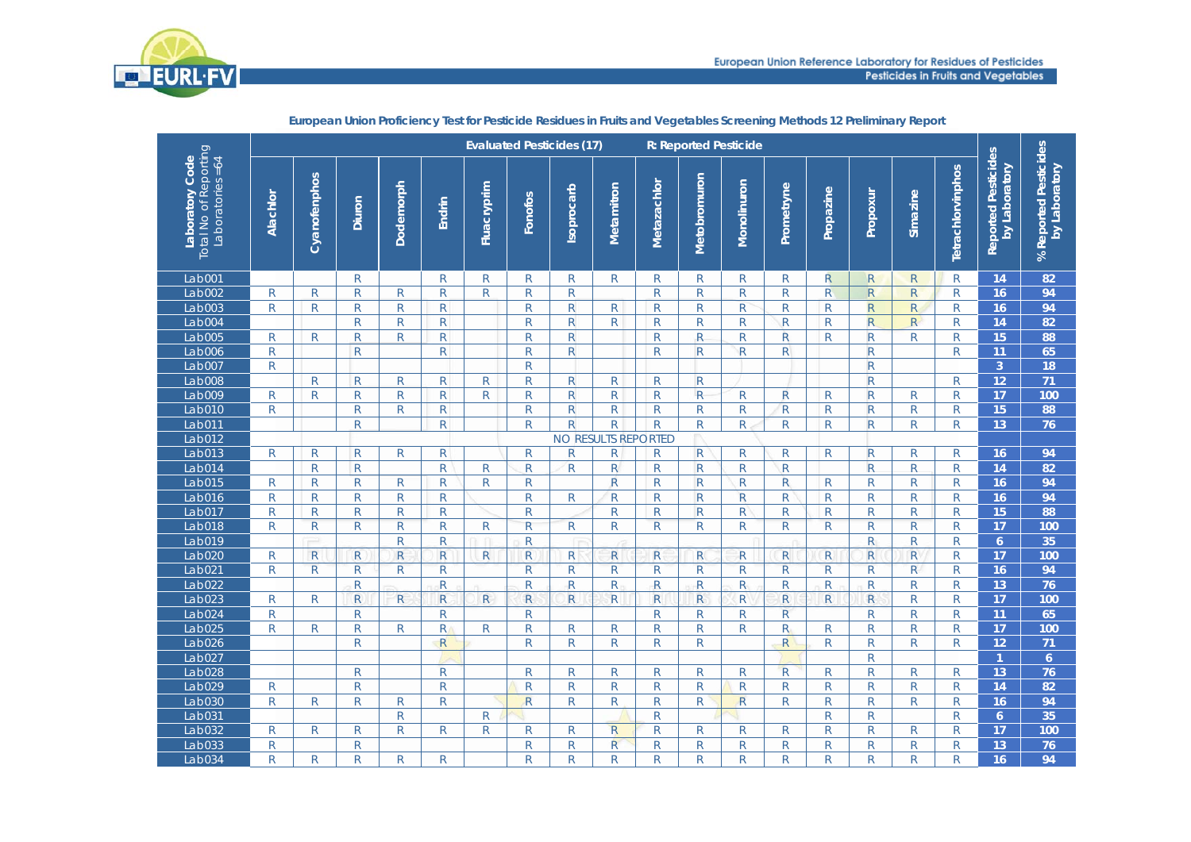

|                                                               |              | <b>Evaluated Pesticides (17)</b><br><b>R: Reported Pesticide</b> |                         |                         |              |              |                         |              |                     |              |                |              |                         |                |                         |              |                   |                                      |                                        |
|---------------------------------------------------------------|--------------|------------------------------------------------------------------|-------------------------|-------------------------|--------------|--------------|-------------------------|--------------|---------------------|--------------|----------------|--------------|-------------------------|----------------|-------------------------|--------------|-------------------|--------------------------------------|----------------------------------------|
| Total No of Reporting<br>Laboratory Code<br>Laboratories = 64 | Alachlor     | Cyanofenphos                                                     | Diuron                  | Dodemorph               | Endrin       | Fluacryprim  | Fonofos                 | Isoprocarb   | Metamitron          | Metazachlor  | Metobromuron   | Monolinuron  | Prometryne              | Propazine      | Propoxur                | Simazine     | Tetrachlorvinphos | Reported Pesticides<br>by Laboratory | % Reported Pesticides<br>by Laboratory |
| Lab001                                                        |              |                                                                  | $\mathsf{R}$            |                         | $\mathsf{R}$ | R            | $\mathsf{R}$            | R.           | R                   | R            | $\mathsf{R}$   | R            | $\mathsf{R}$            | R.             | $\overline{R}$          | ${\sf R}$    | $\mathsf{R}$      | 14                                   | 82                                     |
| Lab002                                                        | $\mathsf{R}$ | R                                                                | $\mathsf R$             | R.                      | $\mathsf{R}$ | $\mathsf{R}$ | $\mathsf{R}$            | R            |                     | R            | R              | $\mathsf R$  | $\mathsf R$             | R              | $\mathsf{R}$            | $\mathsf{R}$ | $\mathsf{R}$      | 16                                   | 94                                     |
| Lab003                                                        | $\mathsf{R}$ | $\mathsf{R}$                                                     | ${\sf R}$               | R                       | ${\sf R}$    |              | ${\sf R}$               | $\mathsf{R}$ | $\mathsf{R}$        | $\mathsf{R}$ | $\mathsf{R}$   | $\mathsf R$  | $\mathsf{R}$            | $\mathsf{R}$   | ${\sf R}$               | R            | $\mathsf{R}$      | 16                                   | 94                                     |
| Lab004                                                        |              |                                                                  | $\mathsf R$             | $\mathsf{R}$            | ${\sf R}$    |              | $\overline{\mathsf{R}}$ | $\mathsf{R}$ | R                   | $\mathsf{R}$ | $\mathsf R$    | ${\sf R}$    | $\mathsf{R}$            | $\mathsf{R}$   | $\overline{\mathsf{R}}$ | R            | $\mathsf{R}$      | 14                                   | 82                                     |
| Lab005                                                        | R            | $\mathsf{R}$                                                     | $\mathsf{R}$            | R.                      | $\mathsf{R}$ |              | $\mathsf{R}$            | $\mathsf{R}$ |                     | $\mathsf{R}$ | $\mathsf{R}$   | $\mathsf R$  | R                       | $\mathsf{R}$   | $\mathsf{R}$            | $\mathsf{R}$ | $\mathsf{R}$      | 15                                   | 88                                     |
| Lab006                                                        | $\mathsf{R}$ |                                                                  | $\overline{R}$          |                         | R            |              | $\mathsf{R}$            | $\mathsf{R}$ |                     | R            | $\mathsf{R}$   | $\mathsf R$  | $\mathsf{R}$            |                | $\mathsf{R}$            |              | R                 | 11                                   | 65                                     |
| Lab007                                                        | $\mathsf{R}$ |                                                                  |                         |                         |              |              | ${\sf R}$               |              |                     |              |                |              |                         |                | $\mathsf{R}$            |              |                   | $\overline{3}$                       | 18                                     |
| Lab008                                                        |              | $\mathsf{R}$                                                     | ${\sf R}$               | R.                      | R            | $\mathsf{R}$ | $\overline{\mathsf{R}}$ | $\mathsf{R}$ | $\mathsf{R}$        | R            | $\overline{R}$ |              |                         |                | $\mathsf{R}$            |              | $\mathsf{R}$      | 12                                   | 71                                     |
| Lab009                                                        | $\mathsf{R}$ | $\mathsf{R}$                                                     | $\mathsf{R}$            | R                       | $\mathsf{R}$ | $\mathsf{R}$ | ${\sf R}$               | $\mathsf{R}$ | $\mathsf{R}$        | $\mathsf{R}$ | $\mathsf{R}$   | ${\sf R}$    | $\overline{\mathsf{R}}$ | $\overline{R}$ | $\mathsf{R}$            | $\mathsf R$  | $\mathsf{R}$      | 17                                   | 100                                    |
| Lab010                                                        | $\mathsf{R}$ |                                                                  | $\mathsf R$             | R                       | ${\sf R}$    |              | $\mathsf{R}$            | $\mathsf{R}$ | R                   | $\mathsf{R}$ | $\mathsf{R}$   | $\mathsf R$  | $\mathsf{R}$            | $\mathsf{R}$   | $\mathsf{R}$            | $\mathsf R$  | $\mathsf{R}$      | 15                                   | 88                                     |
| Lab011                                                        |              |                                                                  | $\mathsf{R}$            |                         | $\mathsf{R}$ |              | $\mathsf{R}$            | $\mathsf{R}$ | R                   | R            | R              | $\mathsf{R}$ | $\mathsf{R}$            | $\mathsf{R}$   | $\mathsf{R}$            | $\mathsf{R}$ | R                 | 13                                   | 76                                     |
| Lab012                                                        |              |                                                                  |                         |                         |              |              |                         |              | NO RESULTS REPORTED |              |                |              |                         |                |                         |              |                   |                                      |                                        |
| Lab013                                                        | $\mathsf{R}$ | R                                                                | $\mathsf{R}$            | R                       | ${\sf R}$    |              | $\mathsf{R}$            | R            | R                   | R            | $\mathsf{R}$   | $\mathsf R$  | R                       | R              | $\mathsf{R}$            | $\mathsf R$  | $\mathsf{R}$      | 16                                   | 94                                     |
| Lab014                                                        |              | ${\sf R}$                                                        | $\mathsf{R}$            |                         | ${\sf R}$    | R            | $\mathsf{R}$            | R            | $\mathsf{R}$        | R            | $\mathsf{R}$   | ${\sf R}$    | $\mathsf{R}$            |                | $\mathsf{R}$            | $\mathsf{R}$ | $\mathsf{R}$      | 14                                   | 82                                     |
| Lab015                                                        | R            | $\mathsf{R}$                                                     | $\mathsf{R}$            | $\mathsf{R}$            | R            | $\mathsf{R}$ | $\mathsf{R}$            |              | R                   | R            | $\mathsf{R}$   | R            | R                       | R              | R                       | R            | $\mathsf{R}$      | 16                                   | 94                                     |
| Lab016                                                        | $\mathsf{R}$ | $\mathsf R$                                                      | ${\sf R}$               | $\mathsf{R}$            | $\mathsf{R}$ |              | ${\sf R}$               | R.           | $\mathsf{R}$        | $\mathsf{R}$ | $\mathsf{R}$   | $\mathsf{R}$ | $\mathsf{R}$            | $\mathsf{R}$   | ${\sf R}$               | R            | $\mathsf{R}$      | 16                                   | 94                                     |
| Lab017                                                        | $\mathsf{R}$ | R                                                                | ${\sf R}$               | R                       | ${\sf R}$    |              | ${\sf R}$               |              | $\mathsf{R}$        | R            | $\mathsf{R}$   | $\mathsf{R}$ | $\mathsf{R}$            | $\mathsf{R}$   | R                       | $\mathsf{R}$ | $\mathsf{R}$      | 15                                   | 88                                     |
| Lab018                                                        | $\mathsf{R}$ | ${\sf R}$                                                        | ${\sf R}$               | $\overline{\mathsf{R}}$ | $\mathsf R$  | R            | $\mathsf R$             | R            | ${\sf R}$           | $\mathsf R$  | $\mathsf R$    | R            | ${\sf R}$               | ${\sf R}$      | ${\sf R}$               | $\mathsf R$  | $\mathsf{R}$      | 17                                   | 100                                    |
| Lab019                                                        |              |                                                                  |                         | R.                      | $\mathsf{R}$ |              | $\mathsf{R}$            |              |                     |              |                |              |                         |                | $\mathsf{R}$            | $\mathsf{R}$ | $\mathsf{R}$      | 6                                    | 35                                     |
| Lab020                                                        | R            | R                                                                | $\mathsf{R}$            | R                       | $\mathsf{R}$ | $\mathsf{R}$ | R                       | R.           | R                   | R            | R              | R            | R                       | R.             | $\mathsf{R}$            | R            | R                 | 17                                   | 100                                    |
| Lab021                                                        | $\mathsf{R}$ | $\mathsf{R}$                                                     | ${\sf R}$               | R.                      | $\mathsf{R}$ |              | $\overline{R}$          | R            | $\mathsf{R}$        | $\mathsf{R}$ | $\mathsf{R}$   | $\mathsf{R}$ | $\overline{R}$          | $\mathsf{R}$   | $\mathsf{R}$            | R            | $\mathsf{R}$      | 16                                   | 94                                     |
| Lab022                                                        |              |                                                                  | $\overline{R}$          |                         | ${\sf R}$    |              | $\overline{\mathsf{R}}$ | ${\sf R}$    | $\mathsf{R}$        | ${\sf R}$    | $\mathsf{R}$   | R            | R                       | R              | $\mathsf{R}$            | ${\sf R}$    | R                 | 13                                   | 76                                     |
| Lab023                                                        | $\mathsf{R}$ | $\mathsf{R}$                                                     | $\overline{\mathsf{R}}$ | R                       | $\mathsf{R}$ | $\mathsf{R}$ | $\overline{R}$          | R            | R                   | $\mathsf{R}$ | $\overline{R}$ | $\mathsf{R}$ | $\mathsf{R}$            | R.             | ${\sf R}$               | ${\sf R}$    | $\mathsf{R}$      | 17                                   | 100                                    |
| Lab024                                                        | $\mathsf{R}$ |                                                                  | $\mathsf R$             |                         | $\mathsf{R}$ |              | $\mathsf{R}$            |              |                     | R            | $\mathsf R$    | $\mathsf R$  | $\mathsf{R}$            |                | $\mathsf{R}$            | R            | $\mathsf{R}$      | 11                                   | 65                                     |
| Lab025                                                        | $\mathsf{R}$ | R                                                                | ${\sf R}$               | R                       | $\mathsf{R}$ | R            | ${\sf R}$               | R            | $\mathsf{R}$        | R            | R              | $\mathsf{R}$ | $\mathsf{R}$            | $\mathsf{R}$   | ${\sf R}$               | ${\sf R}$    | $\mathsf{R}$      | 17                                   | 100                                    |
| Lab026                                                        |              |                                                                  | ${\sf R}$               |                         | $\mathsf{R}$ |              | $\mathsf{R}$            | R            | R                   | R.           | R              |              | $\mathsf{R}$            | R              | R                       | $\mathsf{R}$ | $\mathsf{R}$      | 12                                   | 71                                     |
| Lab <sub>027</sub>                                            |              |                                                                  |                         |                         |              |              |                         |              |                     |              |                |              |                         |                | ${\sf R}$               |              |                   | $\mathbf{1}$                         | 6 <sup>1</sup>                         |
| Lab028                                                        |              |                                                                  | ${\sf R}$               |                         | $\mathsf{R}$ |              | ${\sf R}$               | R.           | R                   | R            | ${\sf R}$      | $\mathsf R$  | $\overline{R}$          | R              | $\mathsf R$             | $\mathsf{R}$ | $\mathsf{R}$      | 13                                   | 76                                     |
| Lab029                                                        | $\mathsf{R}$ |                                                                  | ${\sf R}$               |                         | $\mathsf{R}$ |              | ${\sf R}$               | R            | $\mathsf R$         | R            | R              | ${\sf R}$    | R                       | R.             | R                       | R            | R                 | 14                                   | 82                                     |
| Lab030                                                        | $\mathsf{R}$ | $\mathsf{R}$                                                     | $\mathsf R$             | R                       | $\mathsf{R}$ |              | $\overline{R}$          | R            | R                   | R            | R              | $\mathsf{R}$ | R                       | $\mathsf{R}$   | R                       | $\mathsf R$  | R                 | 16                                   | 94                                     |
| Lab031                                                        |              |                                                                  |                         | $\mathsf R$             |              | R            |                         |              |                     | R            |                |              |                         | $\mathsf R$    | R                       |              | $\mathsf{R}$      | 6                                    | 35                                     |
| Lab032                                                        | $\mathsf{R}$ | $\mathsf{R}$                                                     | $\mathsf R$             | R                       | $\mathsf{R}$ | R            | ${\sf R}$               | R.           | $\mathsf{R}$        | R            | $\mathsf{R}$   | $\mathsf{R}$ | $\mathsf{R}$            | R              | R                       | $\mathsf R$  | $\mathsf{R}$      | 17                                   | 100                                    |
| Lab033                                                        | R            |                                                                  | $\mathsf R$             |                         |              |              | R                       | R            | R                   | R            | R              | R            | R                       | R              | R                       | R            | R                 | 13                                   | 76                                     |
| Lab034                                                        | R            | R                                                                | R                       | R                       | R            |              | R                       | R            | R                   | R.           | R              | $\mathsf{R}$ | R                       | R              | R                       | $\mathsf{R}$ | $\mathsf{R}$      | 16                                   | 94                                     |
|                                                               |              |                                                                  |                         |                         |              |              |                         |              |                     |              |                |              |                         |                |                         |              |                   |                                      |                                        |

**European Union Proficiency Test for Pesticide Residues in Fruits and Vegetables Screening Methods 12 Preliminary Report**